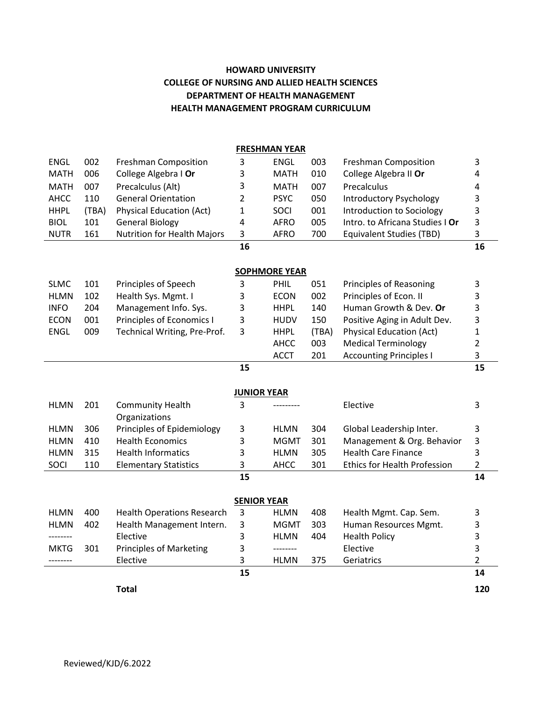## **HOWARD UNIVERSITY COLLEGE OF NURSING AND ALLIED HEALTH SCIENCES DEPARTMENT OF HEALTH MANAGEMENT HEALTH MANAGEMENT PROGRAM CURRICULUM**

| <b>FRESHMAN YEAR</b> |       |                                    |                |             |       |                                     |                |
|----------------------|-------|------------------------------------|----------------|-------------|-------|-------------------------------------|----------------|
| <b>ENGL</b>          | 002   | <b>Freshman Composition</b>        | 3              | <b>ENGL</b> | 003   | Freshman Composition                | 3              |
| <b>MATH</b>          | 006   | College Algebra I Or               | 3              | <b>MATH</b> | 010   | College Algebra II Or               | 4              |
| <b>MATH</b>          | 007   | Precalculus (Alt)                  | 3              | <b>MATH</b> | 007   | Precalculus                         | 4              |
| <b>AHCC</b>          | 110   | <b>General Orientation</b>         | 2              | <b>PSYC</b> | 050   | <b>Introductory Psychology</b>      | 3              |
| <b>HHPL</b>          | (TBA) | <b>Physical Education (Act)</b>    | 1              | SOCI        | 001   | Introduction to Sociology           | 3              |
| <b>BIOL</b>          | 101   | <b>General Biology</b>             | 4              | <b>AFRO</b> | 005   | Intro. to Africana Studies I Or     | 3              |
| <b>NUTR</b>          | 161   | <b>Nutrition for Health Majors</b> | 3              | <b>AFRO</b> | 700   | <b>Equivalent Studies (TBD)</b>     | 3              |
|                      |       |                                    | 16             |             |       |                                     | 16             |
|                      |       |                                    |                |             |       |                                     |                |
| <b>SOPHMORE YEAR</b> |       |                                    |                |             |       |                                     |                |
| <b>SLMC</b>          | 101   | Principles of Speech               | 3              | PHIL        | 051   | Principles of Reasoning             | 3              |
| <b>HLMN</b>          | 102   | Health Sys. Mgmt. I                | 3              | <b>ECON</b> | 002   | Principles of Econ. II              | 3              |
| <b>INFO</b>          | 204   | Management Info. Sys.              | 3              | <b>HHPL</b> | 140   | Human Growth & Dev. Or              | 3              |
| <b>ECON</b>          | 001   | Principles of Economics I          | 3              | <b>HUDV</b> | 150   | Positive Aging in Adult Dev.        | 3              |
| ENGL                 | 009   | Technical Writing, Pre-Prof.       | 3              | <b>HHPL</b> | (TBA) | <b>Physical Education (Act)</b>     | $\mathbf 1$    |
|                      |       |                                    |                | AHCC        | 003   | <b>Medical Terminology</b>          | $\overline{2}$ |
|                      |       |                                    |                | <b>ACCT</b> | 201   | <b>Accounting Principles I</b>      | 3              |
|                      |       |                                    | 15             |             |       |                                     | 15             |
|                      |       |                                    |                |             |       |                                     |                |
| <b>JUNIOR YEAR</b>   |       |                                    |                |             |       |                                     |                |
| <b>HLMN</b>          | 201   | <b>Community Health</b>            | 3              |             |       | Elective                            | 3              |
|                      |       | Organizations                      |                |             |       |                                     |                |
| <b>HLMN</b>          | 306   | Principles of Epidemiology         | 3              | <b>HLMN</b> | 304   | Global Leadership Inter.            | 3              |
| <b>HLMN</b>          | 410   | <b>Health Economics</b>            | 3              | <b>MGMT</b> | 301   | Management & Org. Behavior          | 3              |
| <b>HLMN</b>          | 315   | <b>Health Informatics</b>          | 3              | <b>HLMN</b> | 305   | <b>Health Care Finance</b>          | 3              |
| SOCI                 | 110   | <b>Elementary Statistics</b>       | 3              | AHCC        | 301   | <b>Ethics for Health Profession</b> | $\overline{2}$ |
|                      |       |                                    | 15             |             |       |                                     | 14             |
| <b>SENIOR YEAR</b>   |       |                                    |                |             |       |                                     |                |
| <b>HLMN</b>          | 400   | <b>Health Operations Research</b>  | $\overline{3}$ | <b>HLMN</b> | 408   | Health Mgmt. Cap. Sem.              | 3              |
| <b>HLMN</b>          | 402   | Health Management Intern.          | 3              | <b>MGMT</b> | 303   | Human Resources Mgmt.               | 3              |
| --------             |       | Elective                           | 3              | <b>HLMN</b> | 404   | <b>Health Policy</b>                | 3              |
| <b>MKTG</b>          | 301   | <b>Principles of Marketing</b>     | 3              | --------    |       | Elective                            | 3              |
| --------             |       | Elective                           | 3              | <b>HLMN</b> | 375   | Geriatrics                          | 2              |
|                      |       |                                    | 15             |             |       |                                     | 14             |
|                      |       |                                    |                |             |       |                                     |                |
|                      |       | <b>Total</b>                       |                |             |       |                                     | 120            |